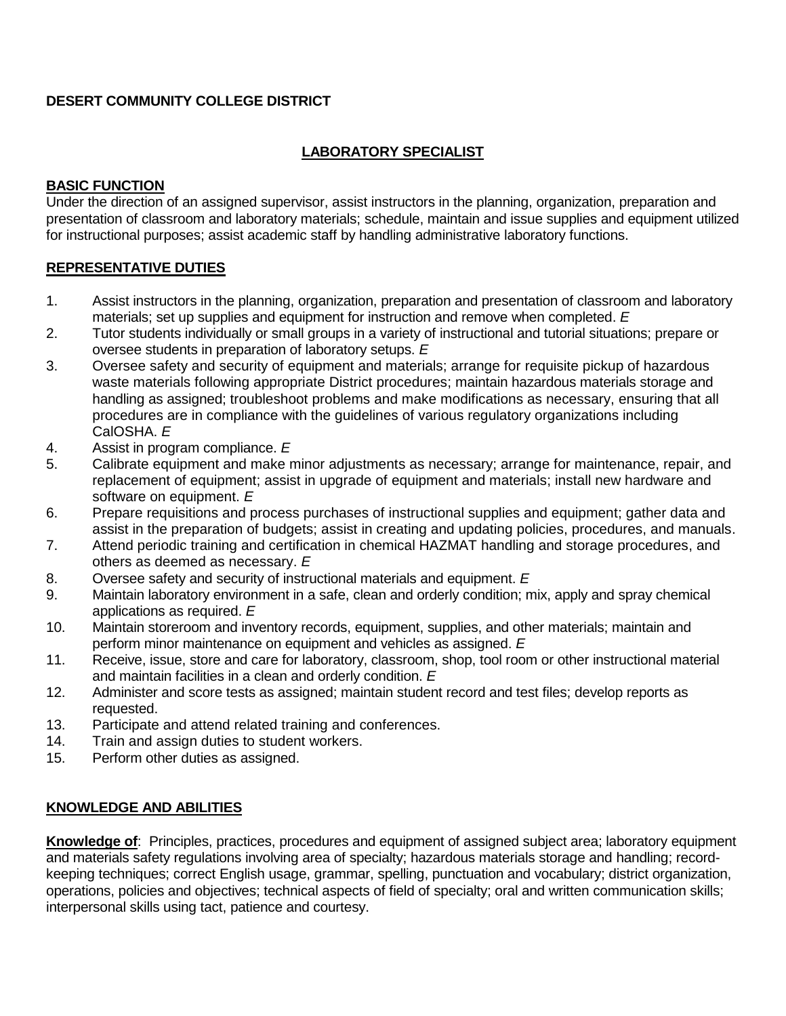## **DESERT COMMUNITY COLLEGE DISTRICT**

# **LABORATORY SPECIALIST**

### **BASIC FUNCTION**

Under the direction of an assigned supervisor, assist instructors in the planning, organization, preparation and presentation of classroom and laboratory materials; schedule, maintain and issue supplies and equipment utilized for instructional purposes; assist academic staff by handling administrative laboratory functions.

## **REPRESENTATIVE DUTIES**

- 1. Assist instructors in the planning, organization, preparation and presentation of classroom and laboratory materials; set up supplies and equipment for instruction and remove when completed. *E*
- 2. Tutor students individually or small groups in a variety of instructional and tutorial situations; prepare or oversee students in preparation of laboratory setups. *E*
- 3. Oversee safety and security of equipment and materials; arrange for requisite pickup of hazardous waste materials following appropriate District procedures; maintain hazardous materials storage and handling as assigned; troubleshoot problems and make modifications as necessary, ensuring that all procedures are in compliance with the guidelines of various regulatory organizations including CalOSHA. *E*
- 4. Assist in program compliance. *E*
- 5. Calibrate equipment and make minor adjustments as necessary; arrange for maintenance, repair, and replacement of equipment; assist in upgrade of equipment and materials; install new hardware and software on equipment. *E*
- 6. Prepare requisitions and process purchases of instructional supplies and equipment; gather data and assist in the preparation of budgets; assist in creating and updating policies, procedures, and manuals.
- 7. Attend periodic training and certification in chemical HAZMAT handling and storage procedures, and others as deemed as necessary. *E*
- 8. Oversee safety and security of instructional materials and equipment. *E*
- 9. Maintain laboratory environment in a safe, clean and orderly condition; mix, apply and spray chemical applications as required. *E*
- 10. Maintain storeroom and inventory records, equipment, supplies, and other materials; maintain and perform minor maintenance on equipment and vehicles as assigned. *E*
- 11. Receive, issue, store and care for laboratory, classroom, shop, tool room or other instructional material and maintain facilities in a clean and orderly condition. *E*
- 12. Administer and score tests as assigned; maintain student record and test files; develop reports as requested.
- 13. Participate and attend related training and conferences.
- 14. Train and assign duties to student workers.
- 15. Perform other duties as assigned.

## **KNOWLEDGE AND ABILITIES**

**Knowledge of**: Principles, practices, procedures and equipment of assigned subject area; laboratory equipment and materials safety regulations involving area of specialty; hazardous materials storage and handling; recordkeeping techniques; correct English usage, grammar, spelling, punctuation and vocabulary; district organization, operations, policies and objectives; technical aspects of field of specialty; oral and written communication skills; interpersonal skills using tact, patience and courtesy.